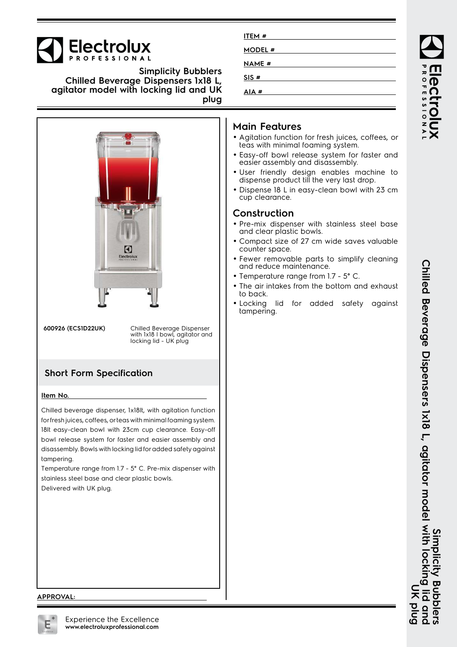# **Electrolux**

**Simplicity Bubblers Chilled Beverage Dispensers 1x18 L, agitator model with locking lid and UK plug**



for fresh juices, coffees, or teas with minimal foaming system. 18lt easy-clean bowl with 23cm cup clearance. Easy-off bowl release system for faster and easier assembly and disassembly. Bowls with locking lid for added safety against tampering.

Temperature range from 1.7 - 5° C. Pre-mix dispenser with stainless steel base and clear plastic bowls. Delivered with UK plug.

| ITEM#         |  |
|---------------|--|
| <b>MODEL#</b> |  |
| NAME #        |  |
| SIS#          |  |
| AIA#          |  |

## **Main Features**

- Agitation function for fresh juices, coffees, or teas with minimal foaming system.
- Easy-off bowl release system for faster and easier assembly and disassembly.
- User friendly design enables machine to dispense product till the very last drop.
- Dispense 18 L in easy-clean bowl with 23 cm cup clearance.

### **Construction**

- Pre-mix dispenser with stainless steel base and clear plastic bowls.
- Compact size of 27 cm wide saves valuable counter space.
- Fewer removable parts to simplify cleaning and reduce maintenance.
- Temperature range from 1.7 5° C.
- The air intakes from the bottom and exhaust to back.
- Locking lid for added safety against tampering.

#### **APPROVAL:**